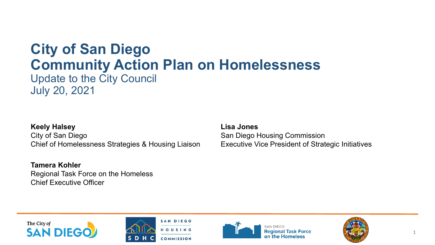### **City of San Diego Community Action Plan on Homelessness**

Update to the City Council July 20, 2021

#### **Keely Halsey** City of San Diego

Chief of Homelessness Strategies & Housing Liaison

**Tamera Kohler** Regional Task Force on the Homeless Chief Executive Officer

**Lisa Jones** San Diego Housing Commission Executive Vice President of Strategic Initiatives







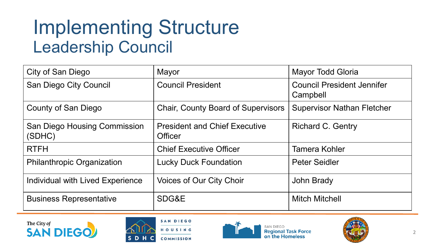### Implementing Structure Leadership Council

| City of San Diego                             | Mayor                                                  | Mayor Todd Gloria                             |
|-----------------------------------------------|--------------------------------------------------------|-----------------------------------------------|
| San Diego City Council                        | <b>Council President</b>                               | <b>Council President Jennifer</b><br>Campbell |
| County of San Diego                           | <b>Chair, County Board of Supervisors</b>              | <b>Supervisor Nathan Fletcher</b>             |
| <b>San Diego Housing Commission</b><br>(SDHC) | <b>President and Chief Executive</b><br><b>Officer</b> | <b>Richard C. Gentry</b>                      |
| <b>RTFH</b>                                   | <b>Chief Executive Officer</b>                         | <b>Tamera Kohler</b>                          |
| <b>Philanthropic Organization</b>             | <b>Lucky Duck Foundation</b>                           | <b>Peter Seidler</b>                          |
| Individual with Lived Experience              | <b>Voices of Our City Choir</b>                        | <b>John Brady</b>                             |
| <b>Business Representative</b>                | SDG&E                                                  | <b>Mitch Mitchell</b>                         |







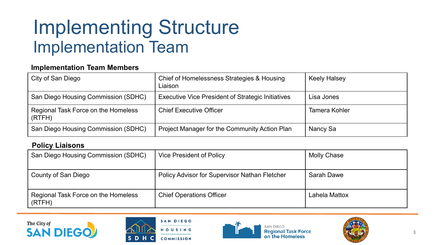### Implementing Structure Implementation Team

#### **Implementation Team Members**

| City of San Diego                             | Chief of Homelessness Strategies & Housing<br>Liaison    | <b>Keely Halsey</b> |
|-----------------------------------------------|----------------------------------------------------------|---------------------|
| San Diego Housing Commission (SDHC)           | <b>Executive Vice President of Strategic Initiatives</b> | Lisa Jones          |
| Regional Task Force on the Homeless<br>(RTFH) | <b>Chief Executive Officer</b>                           | Tamera Kohler       |
| San Diego Housing Commission (SDHC)           | <b>Project Manager for the Community Action Plan</b>     | Nancy Sa            |

#### **Policy Liaisons**

| San Diego Housing Commission (SDHC)           | <b>Vice President of Policy</b>                      | <b>Molly Chase</b> |
|-----------------------------------------------|------------------------------------------------------|--------------------|
| County of San Diego                           | <b>Policy Advisor for Supervisor Nathan Fletcher</b> | Sarah Dawe         |
| Regional Task Force on the Homeless<br>(RTFH) | <b>Chief Operations Officer</b>                      | Lahela Mattox      |







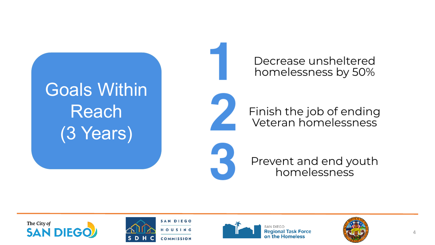# **Goals Within** Reach (3 Years)

Decrease unsheltered homelessness by 50%



Finish the job of ending Veteran homelessness

Prevent and end youth homelessness







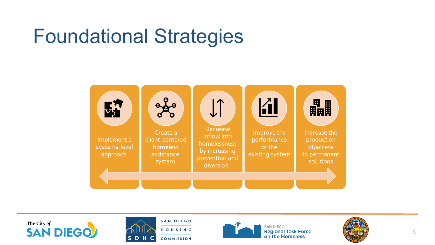### Foundational Strategies









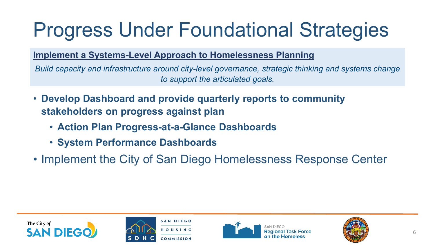#### **Implement a Systems-Level Approach to Homelessness Planning**

*Build capacity and infrastructure around city-level governance, strategic thinking and systems change to support the articulated goals.*

- **Develop Dashboard and provide quarterly reports to community stakeholders on progress against plan**
	- **Action Plan Progress-at-a-Glance Dashboards**
	- **System Performance Dashboards**
- Implement the City of San Diego Homelessness Response Center







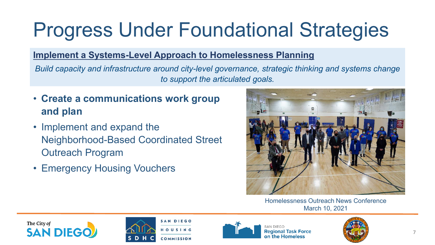#### **Implement a Systems-Level Approach to Homelessness Planning**

*Build capacity and infrastructure around city-level governance, strategic thinking and systems change to support the articulated goals.*

- **Create a communications work group and plan**
- Implement and expand the Neighborhood-Based Coordinated Street Outreach Program
- Emergency Housing Vouchers



Homelessness Outreach News Conference March 10, 2021







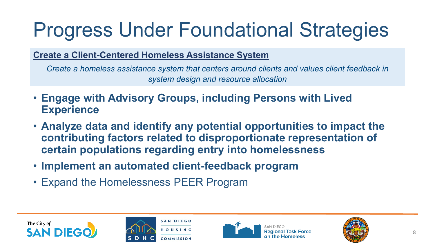**Create a Client-Centered Homeless Assistance System**

*Create a homeless assistance system that centers around clients and values client feedback in system design and resource allocation*

- **Engage with Advisory Groups, including Persons with Lived Experience**
- **Analyze data and identify any potential opportunities to impact the contributing factors related to disproportionate representation of certain populations regarding entry into homelessness**
- **Implement an automated client-feedback program**
- Expand the Homelessness PEER Program







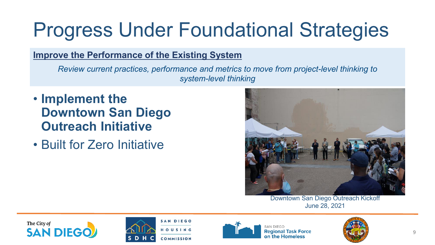#### **Improve the Performance of the Existing System**

*Review current practices, performance and metrics to move from project-level thinking to system-level thinking* 

- **Implement the Downtown San Diego Outreach Initiative**
- Built for Zero Initiative



Downtown San Diego Outreach Kickoff June 28, 2021







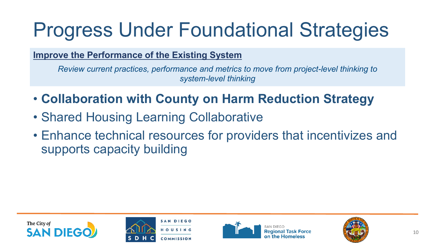#### **Improve the Performance of the Existing System**

*Review current practices, performance and metrics to move from project-level thinking to system-level thinking* 

- **Collaboration with County on Harm Reduction Strategy**
- Shared Housing Learning Collaborative
- Enhance technical resources for providers that incentivizes and supports capacity building







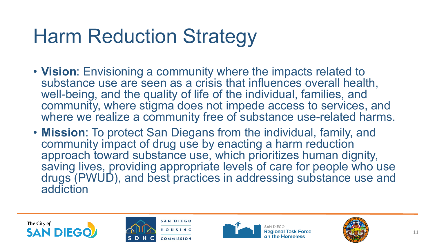### Harm Reduction Strategy

- **Vision**: Envisioning a community where the impacts related to substance use are seen as a crisis that influences overall health, well-being, and the quality of life of the individual, families, and community, where stigma does not impede access to services, and where we realize a community free of substance use-related harms.
- **Mission**: To protect San Diegans from the individual, family, and community impact of drug use by enacting a harm reduction approach toward substance use, which prioritizes human dignity, saving lives, providing appropriate levels of care for people who use drugs (PWUD), and best practices in addressing substance use and addiction







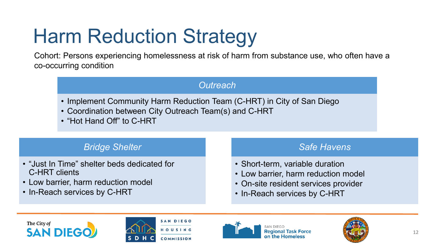# Harm Reduction Strategy

Cohort: Persons experiencing homelessness at risk of harm from substance use, who often have a co-occurring condition

### *Outreach*

- Implement Community Harm Reduction Team (C-HRT) in City of San Diego
- Coordination between City Outreach Team(s) and C-HRT
- "Hot Hand Off" to C-HRT

#### *Bridge Shelter*

- "Just In Time" shelter beds dedicated for C-HRT clients
- Low barrier, harm reduction model
- In-Reach services by C-HRT

#### *Safe Havens*

- Short-term, variable duration
- Low barrier, harm reduction model
- On-site resident services provider
- In-Reach services by C-HRT